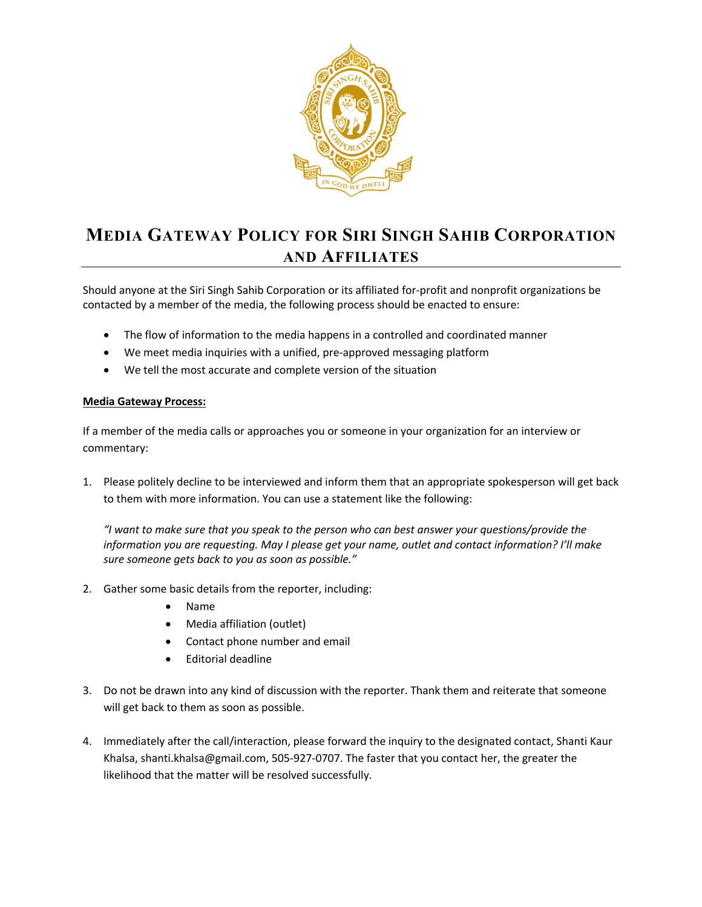

## **MEDIA GATEWAY POLICY FOR SIRI SINGH SAHIB CORPORATION AND AFFILIATES**

Should anyone at the Siri Singh Sahib Corporation or its affiliated for-profit and nonprofit organizations be contacted by a member of the media, the following process should be enacted to ensure:

- The flow of information to the media happens in a controlled and coordinated manner
- We meet media inquiries with a unified, pre-approved messaging platform
- We tell the most accurate and complete version of the situation

## **Media Gateway Process:**

If a member of the media calls or approaches you or someone in your organization for an interview or commentary:

1. Please politely decline to be interviewed and inform them that an appropriate spokesperson will get back to them with more information. You can use a statement like the following:

*"I want to make sure that you speak to the person who can best answer your questions/provide the information you are requesting. May I please get your name, outlet and contact information? I'll make sure someone gets back to you as soon as possible."*

- 2. Gather some basic details from the reporter, including:
	- Name
	- Media affiliation (outlet)
	- Contact phone number and email
	- Editorial deadline
- 3. Do not be drawn into any kind of discussion with the reporter. Thank them and reiterate that someone will get back to them as soon as possible.
- 4. Immediately after the call/interaction, please forward the inquiry to the designated contact, Shanti Kaur Khalsa, shanti.khalsa@gmail.com, 505-927-0707. The faster that you contact her, the greater the likelihood that the matter will be resolved successfully.